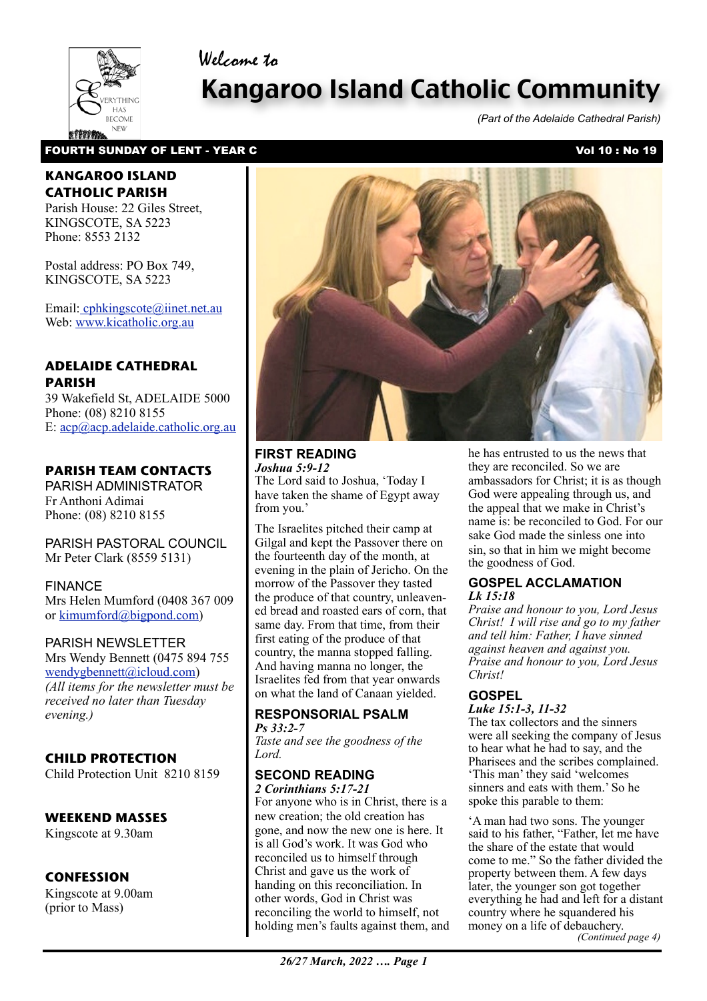

# Kangaroo Island Catholic Community

*(Part of the Adelaide Cathedral Parish)*

#### FOURTH SUNDAY OF LENT - YEAR C<br>
FOURTH SUNDAY OF LENT - YEAR C

Welcome to

#### **KANGAROO ISLAND CATHOLIC PARISH**

Parish House: 22 Giles Street, KINGSCOTE, SA 5223 Phone: 8553 2132

Postal address: PO Box 749, KINGSCOTE, SA 5223

Email[: cphkingscote@iinet.net.au](mailto:cphkingscote@iinet.net.au) Web: [www.kicatholic.org.au](http://www.kicatholic.org.au)

#### **ADELAIDE CATHEDRAL PARISH**

39 Wakefield St, ADELAIDE 5000 Phone: (08) 8210 8155 E: [acp@acp.adelaide.catholic.org.au](mailto:?subject=)

#### **PARISH TEAM CONTACTS**

PARISH ADMINISTRATOR Fr Anthoni Adimai Phone: (08) 8210 8155

PARISH PASTORAL COUNCIL Mr Peter Clark (8559 5131)

FINANCE Mrs Helen Mumford (0408 367 009 or [kimumford@bigpond.com\)](mailto:kimumford@bigpond.com)

#### PARISH NEWSLETTER Mrs Wendy Bennett (0475 894 755

[wendygbennett@icloud.com\)](mailto:wendygbennett@icloud.com) *(All items for the newsletter must be received no later than Tuesday evening.)*

#### **CHILD PROTECTION**

Child Protection Unit 8210 8159

#### **WEEKEND MASSES**

Kingscote at 9.30am

#### **CONFESSION**

Kingscote at 9.00am (prior to Mass)



#### **FIRST READING** *Joshua 5:9-12*

The Lord said to Joshua, 'Today I have taken the shame of Egypt away from you.'

The Israelites pitched their camp at Gilgal and kept the Passover there on the fourteenth day of the month, at evening in the plain of Jericho. On the morrow of the Passover they tasted the produce of that country, unleavened bread and roasted ears of corn, that same day. From that time, from their first eating of the produce of that country, the manna stopped falling. And having manna no longer, the Israelites fed from that year onwards on what the land of Canaan yielded.

#### **RESPONSORIAL PSALM** *Ps 33:2-7*

*Taste and see the goodness of the Lord.*

#### **SECOND READING**

holding men's faults against them, and *2 Corinthians 5:17-21* For anyone who is in Christ, there is a new creation; the old creation has gone, and now the new one is here. It is all God's work. It was God who reconciled us to himself through Christ and gave us the work of handing on this reconciliation. In other words, God in Christ was reconciling the world to himself, not

he has entrusted to us the news that they are reconciled. So we are ambassadors for Christ; it is as though God were appealing through us, and the appeal that we make in Christ's name is: be reconciled to God. For our sake God made the sinless one into sin, so that in him we might become the goodness of God.

#### **GOSPEL ACCLAMATION** *Lk 15:18*

*Praise and honour to you, Lord Jesus Christ! I will rise and go to my father and tell him: Father, I have sinned against heaven and against you. Praise and honour to you, Lord Jesus Christ!*

#### **GOSPEL** *Luke 15:1-3, 11-32*

The tax collectors and the sinners were all seeking the company of Jesus to hear what he had to say, and the Pharisees and the scribes complained. 'This man' they said 'welcomes sinners and eats with them.' So he spoke this parable to them:

'A man had two sons. The younger said to his father, "Father, let me have the share of the estate that would come to me." So the father divided the property between them. A few days later, the younger son got together everything he had and left for a distant country where he squandered his money on a life of debauchery. *(Continued page 4)*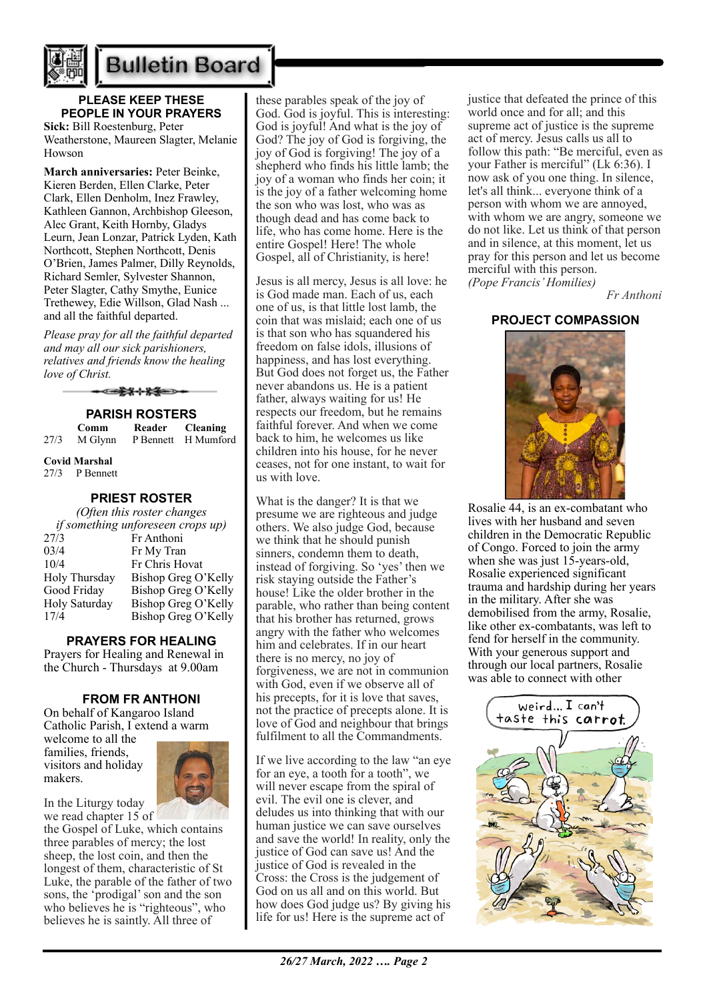

## **Bulletin Board**

#### **PLEASE KEEP THESE PEOPLE IN YOUR PRAYERS**

**Sick:** Bill Roestenburg, Peter Weatherstone, Maureen Slagter, Melanie Howson

**March anniversaries:** Peter Beinke, Kieren Berden, Ellen Clarke, Peter Clark, Ellen Denholm, Inez Frawley, Kathleen Gannon, Archbishop Gleeson, Alec Grant, Keith Hornby, Gladys Leurn, Jean Lonzar, Patrick Lyden, Kath Northcott, Stephen Northcott, Denis O'Brien, James Palmer, Dilly Reynolds, Richard Semler, Sylvester Shannon, Peter Slagter, Cathy Smythe, Eunice Trethewey, Edie Willson, Glad Nash ... and all the faithful departed.

*Please pray for all the faithful departed and may all our sick parishioners, relatives and friends know the healing love of Christ.*

▅<del>▛</del>▓⊹▓▓▅⋺

#### **PARISH ROSTERS**

|      | Comm    | Reader    | <b>Cleaning</b> |
|------|---------|-----------|-----------------|
| 27/3 | M Glynn | P Bennett | H Mumford       |

**Covid Marshal**  27/3 P Bennett

#### **PRIEST ROSTER**

| (Often this roster changes        |                     |  |  |
|-----------------------------------|---------------------|--|--|
| if something unforeseen crops up) |                     |  |  |
| 27/3                              | Fr Anthoni          |  |  |
| 03/4                              | Fr My Tran          |  |  |
| 10/4                              | Fr Chris Hovat      |  |  |
| Holy Thursday                     | Bishop Greg O'Kelly |  |  |
| Good Friday                       | Bishop Greg O'Kelly |  |  |
| Holy Saturday                     | Bishop Greg O'Kelly |  |  |
| 17/4                              | Bishop Greg O'Kelly |  |  |
|                                   |                     |  |  |

#### **PRAYERS FOR HEALING**

Prayers for Healing and Renewal in the Church - Thursdays at 9.00am

#### **FROM FR ANTHONI**

On behalf of Kangaroo Island Catholic Parish, I extend a warm

welcome to all the families, friends, visitors and holiday makers.



In the Liturgy today we read chapter 15 of

the Gospel of Luke, which contains three parables of mercy; the lost sheep, the lost coin, and then the longest of them, characteristic of St Luke, the parable of the father of two sons, the 'prodigal' son and the son who believes he is "righteous", who believes he is saintly. All three of

these parables speak of the joy of God. God is joyful. This is interesting: God is joyful! And what is the joy of God? The joy of God is forgiving, the joy of God is forgiving! The joy of a shepherd who finds his little lamb; the joy of a woman who finds her coin; it is the joy of a father welcoming home the son who was lost, who was as though dead and has come back to life, who has come home. Here is the entire Gospel! Here! The whole Gospel, all of Christianity, is here!

Jesus is all mercy, Jesus is all love: he is God made man. Each of us, each one of us, is that little lost lamb, the coin that was mislaid; each one of us is that son who has squandered his freedom on false idols, illusions of happiness, and has lost everything. But God does not forget us, the Father never abandons us. He is a patient father, always waiting for us! He respects our freedom, but he remains faithful forever. And when we come back to him, he welcomes us like children into his house, for he never ceases, not for one instant, to wait for us with love.

What is the danger? It is that we presume we are righteous and judge others. We also judge God, because we think that he should punish sinners, condemn them to death, instead of forgiving. So 'yes' then we risk staying outside the Father's house! Like the older brother in the parable, who rather than being content that his brother has returned, grows angry with the father who welcomes him and celebrates. If in our heart there is no mercy, no joy of forgiveness, we are not in communion with God, even if we observe all of his precepts, for it is love that saves. not the practice of precepts alone. It is love of God and neighbour that brings fulfilment to all the Commandments.

If we live according to the law "an eye for an eye, a tooth for a tooth", we will never escape from the spiral of evil. The evil one is clever, and deludes us into thinking that with our human justice we can save ourselves and save the world! In reality, only the justice of God can save us! And the justice of God is revealed in the Cross: the Cross is the judgement of God on us all and on this world. But how does God judge us? By giving his life for us! Here is the supreme act of

justice that defeated the prince of this world once and for all; and this supreme act of justice is the supreme act of mercy. Jesus calls us all to follow this path: "Be merciful, even as your Father is merciful" (Lk 6:36). I now ask of you one thing. In silence, let's all think... everyone think of a person with whom we are annoyed, with whom we are angry, someone we do not like. Let us think of that person and in silence, at this moment, let us pray for this person and let us become merciful with this person. *(Pope Francis' Homilies)*

*Fr Anthoni*

#### **PROJECT COMPASSION**



Rosalie 44, is an ex-combatant who lives with her husband and seven children in the Democratic Republic of Congo. Forced to join the army when she was just 15-years-old, Rosalie experienced significant trauma and hardship during her years in the military. After she was demobilised from the army, Rosalie, like other ex-combatants, was left to fend for herself in the community. With your generous support and through our local partners, Rosalie was able to connect with other

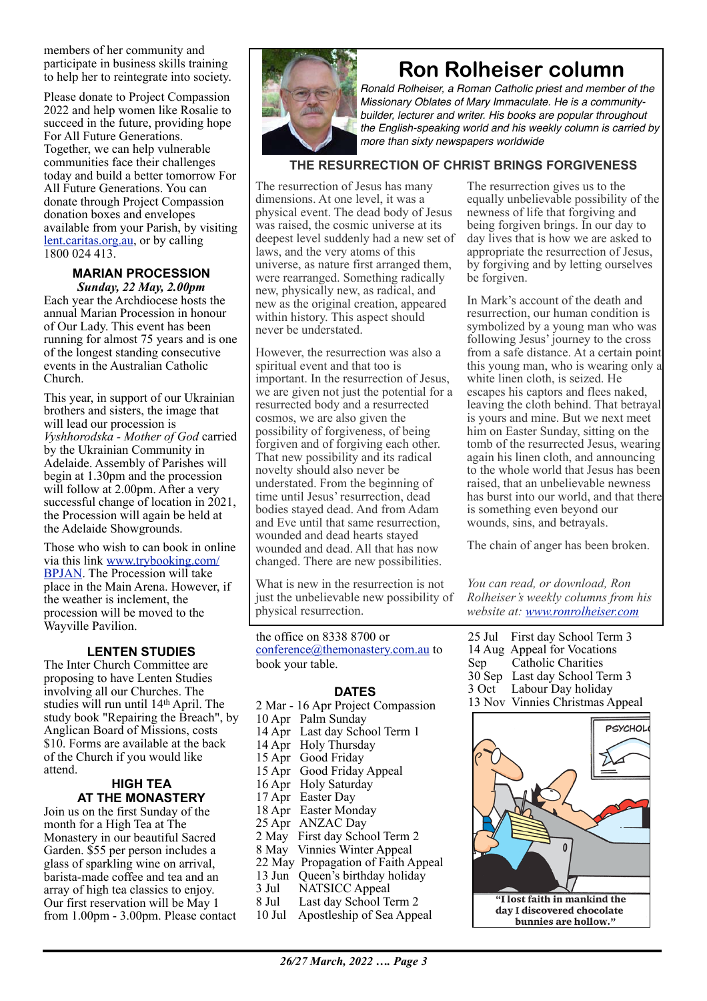members of her community and participate in business skills training to help her to reintegrate into society.

Please donate to Project Compassion 2022 and help women like Rosalie to succeed in the future, providing hope For All Future Generations. Together, we can help vulnerable communities face their challenges today and build a better tomorrow For All Future Generations. You can donate through Project Compassion donation boxes and envelopes available from your Parish, by visiting [lent.caritas.org.au](http://www.caritas.org.au/projectcompassion), or by calling 1800 024 413.

#### **MARIAN PROCESSION**

*Sunday, 22 May, 2.00pm*  Each year the Archdiocese hosts the annual Marian Procession in honour of Our Lady. This event has been running for almost 75 years and is one of the longest standing consecutive events in the Australian Catholic Church.

This year, in support of our Ukrainian brothers and sisters, the image that will lead our procession is *Vyshhorodska - Mother of God* carried by the Ukrainian Community in Adelaide. Assembly of Parishes will begin at 1.30pm and the procession will follow at 2.00pm. After a very successful change of location in 2021, the Procession will again be held at the Adelaide Showgrounds.

Those who wish to can book in online via this link [www.trybooking.com/](http://www.trybooking.com/BPJAN) [BPJAN](http://www.trybooking.com/BPJAN). The Procession will take place in the Main Arena. However, if the weather is inclement, the procession will be moved to the Wayville Pavilion.

#### **LENTEN STUDIES**

The Inter Church Committee are proposing to have Lenten Studies involving all our Churches. The studies will run until 14th April. The study book "Repairing the Breach", by Anglican Board of Missions, costs \$10. Forms are available at the back of the Church if you would like attend.

#### **HIGH TEA AT THE MONASTERY**

Join us on the first Sunday of the month for a High Tea at The Monastery in our beautiful Sacred Garden. \$55 per person includes a glass of sparkling wine on arrival, barista-made coffee and tea and an array of high tea classics to enjoy. Our first reservation will be May 1 from 1.00pm - 3.00pm. Please contact



### **Ron Rolheiser column**

*Ronald Rolheiser, a Roman Catholic priest and member of the Missionary Oblates of Mary Immaculate. He is a communitybuilder, lecturer and writer. His books are popular throughout the English-speaking world and his weekly column is carried by more than sixty newspapers worldwide*

#### **THE RESURRECTION OF CHRIST BRINGS FORGIVENESS**

The resurrection of Jesus has many dimensions. At one level, it was a physical event. The dead body of Jesus was raised, the cosmic universe at its deepest level suddenly had a new set of laws, and the very atoms of this universe, as nature first arranged them, were rearranged. Something radically new, physically new, as radical, and new as the original creation, appeared within history. This aspect should never be understated.

However, the resurrection was also a spiritual event and that too is important. In the resurrection of Jesus, we are given not just the potential for a resurrected body and a resurrected cosmos, we are also given the possibility of forgiveness, of being forgiven and of forgiving each other. That new possibility and its radical novelty should also never be understated. From the beginning of time until Jesus' resurrection, dead bodies stayed dead. And from Adam and Eve until that same resurrection, wounded and dead hearts stayed wounded and dead. All that has now changed. There are new possibilities.

What is new in the resurrection is not just the unbelievable new possibility of physical resurrection.

the office on 8338 8700 or [conference@themonastery.com.au](mailto:conference@themonastery.com.au) to book your table.

#### **DATES**

2 Mar - 16 Apr Project Compassion 10 Apr Palm Sunday 14 Apr Last day School Term 1 14 Apr Holy Thursday 15 Apr Good Friday 15 Apr Good Friday Appeal 16 Apr Holy Saturday 17 Apr Easter Day 18 Apr Easter Monday 25 Apr ANZAC Day 2 May First day School Term 2 8 May Vinnies Winter Appeal 22 May Propagation of Faith Appeal 13 Jun Queen's birthday holiday 3 Jul NATSICC Appeal<br>8 Jul Last day School Te Last day School Term 2 10 Jul Apostleship of Sea Appeal

The resurrection gives us to the equally unbelievable possibility of the newness of life that forgiving and being forgiven brings. In our day to day lives that is how we are asked to appropriate the resurrection of Jesus, by forgiving and by letting ourselves be forgiven.

In Mark's account of the death and resurrection, our human condition is symbolized by a young man who was following Jesus' journey to the cross from a safe distance. At a certain point this young man, who is wearing only a white linen cloth, is seized. He escapes his captors and flees naked, leaving the cloth behind. That betrayal is yours and mine. But we next meet him on Easter Sunday, sitting on the tomb of the resurrected Jesus, wearing again his linen cloth, and announcing to the whole world that Jesus has been raised, that an unbelievable newness has burst into our world, and that there is something even beyond our wounds, sins, and betrayals.

The chain of anger has been broken.

*You can read, or download, Ron Rolheiser's weekly columns from his website at: [www.ronrolheiser.com](http://www.ronrolheiser.com)*

25 Jul First day School Term 3 14 Aug Appeal for Vocations Sep Catholic Charities 30 Sep Last day School Term 3 3 Oct Labour Day holiday 13 Nov Vinnies Christmas Appeal